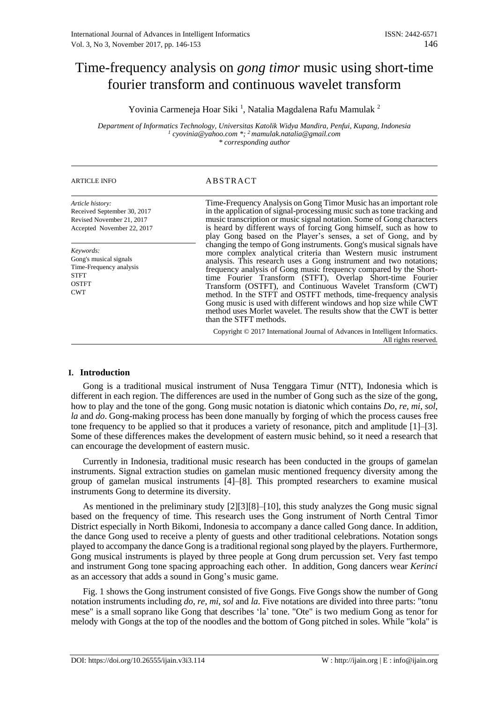# Time-frequency analysis on *gong timor* music using short-time fourier transform and continuous wavelet transform

Yovinia Carmeneja Hoar Siki<sup>1</sup>, Natalia Magdalena Rafu Mamulak<sup>2</sup>

*Department of Informatics Technology, Universitas Katolik Widya Mandira, Penfui, Kupang, Indonesia 1 cyovinia@yahoo.com \*; <sup>2</sup>mamulak.natalia@gmail.com \* corresponding author*

## ARTICLE INFO ABSTRACT

| Article history:<br>Received September 30, 2017<br>Revised November 21, 2017<br>Accepted November 22, 2017  | Time-Frequency Analysis on Gong Timor Music has an important role<br>in the application of signal-processing music such as tone tracking and<br>music transcription or music signal notation. Some of Gong characters<br>is heard by different ways of forcing Gong himself, such as how to<br>play Gong based on the Player's senses, a set of Gong, and by                                                                                                                                                                                                                                                                                     |
|-------------------------------------------------------------------------------------------------------------|--------------------------------------------------------------------------------------------------------------------------------------------------------------------------------------------------------------------------------------------------------------------------------------------------------------------------------------------------------------------------------------------------------------------------------------------------------------------------------------------------------------------------------------------------------------------------------------------------------------------------------------------------|
| Keywords:<br>Gong's musical signals<br>Time-Frequency analysis<br><b>STFT</b><br><b>OSTFT</b><br><b>CWT</b> | changing the tempo of Gong instruments. Gong's musical signals have<br>more complex analytical criteria than Western music instrument<br>analysis. This research uses a Gong instrument and two notations;<br>frequency analysis of Gong music frequency compared by the Short-<br>time Fourier Transform (STFT), Overlap Short-time Fourier<br>Transform (OSTFT), and Continuous Wavelet Transform (CWT)<br>method. In the STFT and OSTFT methods, time-frequency analysis<br>Gong music is used with different windows and hop size while CWT<br>method uses Morlet wavelet. The results show that the CWT is better<br>than the STFT methods. |
|                                                                                                             | Copyright © 2017 International Journal of Advances in Intelligent Informatics.<br>All rights reserved.                                                                                                                                                                                                                                                                                                                                                                                                                                                                                                                                           |

#### **I. Introduction**

Gong is a traditional musical instrument of Nusa Tenggara Timur (NTT), Indonesia which is different in each region. The differences are used in the number of Gong such as the size of the gong, how to play and the tone of the gong. Gong music notation is diatonic which contains *Do*, *re*, *mi*, *sol*, *la* and *do*. Gong-making process has been done manually by forging of which the process causes free tone frequency to be applied so that it produces a variety of resonance, pitch and amplitude [1]–[3]. Some of these differences makes the development of eastern music behind, so it need a research that can encourage the development of eastern music.

Currently in Indonesia, traditional music research has been conducted in the groups of gamelan instruments. Signal extraction studies on gamelan music mentioned frequency diversity among the group of gamelan musical instruments [4]–[8]. This prompted researchers to examine musical instruments Gong to determine its diversity.

As mentioned in the preliminary study [2][3][8]–[10], this study analyzes the Gong music signal based on the frequency of time. This research uses the Gong instrument of North Central Timor District especially in North Bikomi, Indonesia to accompany a dance called Gong dance. In addition, the dance Gong used to receive a plenty of guests and other traditional celebrations. Notation songs played to accompany the dance Gong is a traditional regional song played by the players. Furthermore, Gong musical instruments is played by three people at Gong drum percussion set. Very fast tempo and instrument Gong tone spacing approaching each other. In addition, Gong dancers wear *Kerinci* as an accessory that adds a sound in Gong's music game.

Fig. 1 shows the Gong instrument consisted of five Gongs. Five Gongs show the number of Gong notation instruments including *do*, *re*, *mi*, *sol* and *la*. Five notations are divided into three parts: "tonu mese" is a small soprano like Gong that describes 'la' tone. "Ote" is two medium Gong as tenor for melody with Gongs at the top of the noodles and the bottom of Gong pitched in soles. While "kola" is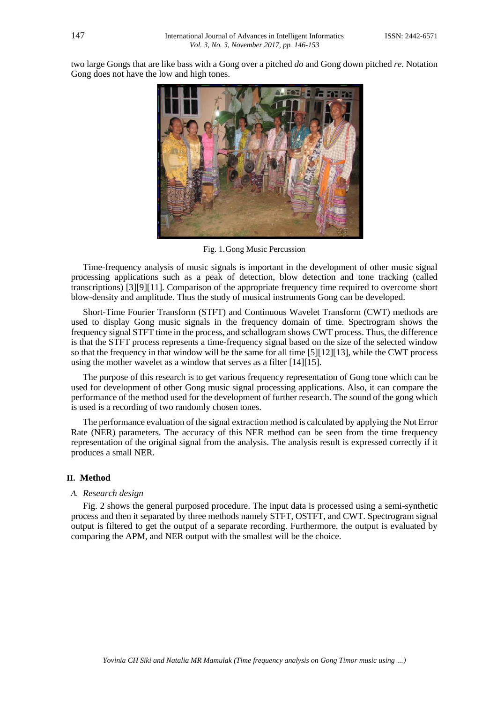two large Gongs that are like bass with a Gong over a pitched *do* and Gong down pitched *re*. Notation Gong does not have the low and high tones.



Fig. 1.Gong Music Percussion

Time-frequency analysis of music signals is important in the development of other music signal processing applications such as a peak of detection, blow detection and tone tracking (called transcriptions) [3][9][11]. Comparison of the appropriate frequency time required to overcome short blow-density and amplitude. Thus the study of musical instruments Gong can be developed.

Short-Time Fourier Transform (STFT) and Continuous Wavelet Transform (CWT) methods are used to display Gong music signals in the frequency domain of time. Spectrogram shows the frequency signal STFT time in the process, and schallogram shows CWT process. Thus, the difference is that the STFT process represents a time-frequency signal based on the size of the selected window so that the frequency in that window will be the same for all time [5][12][13], while the CWT process using the mother wavelet as a window that serves as a filter [14][15].

The purpose of this research is to get various frequency representation of Gong tone which can be used for development of other Gong music signal processing applications. Also, it can compare the performance of the method used for the development of further research. The sound of the gong which is used is a recording of two randomly chosen tones.

The performance evaluation of the signal extraction method is calculated by applying the Not Error Rate (NER) parameters. The accuracy of this NER method can be seen from the time frequency representation of the original signal from the analysis. The analysis result is expressed correctly if it produces a small NER.

#### **II. Method**

#### *A. Research design*

Fig. 2 shows the general purposed procedure. The input data is processed using a semi-synthetic process and then it separated by three methods namely STFT, OSTFT, and CWT. Spectrogram signal output is filtered to get the output of a separate recording. Furthermore, the output is evaluated by comparing the APM, and NER output with the smallest will be the choice.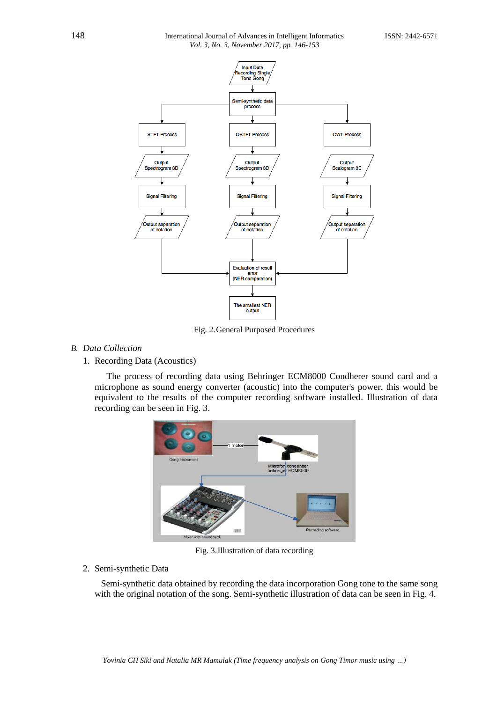

Fig. 2.General Purposed Procedures

# *B. Data Collection*

# 1. Recording Data (Acoustics)

The process of recording data using Behringer ECM8000 Condherer sound card and a microphone as sound energy converter (acoustic) into the computer's power, this would be equivalent to the results of the computer recording software installed. Illustration of data recording can be seen in Fig. 3.



Fig. 3.Illustration of data recording

# 2. Semi-synthetic Data

Semi-synthetic data obtained by recording the data incorporation Gong tone to the same song with the original notation of the song. Semi-synthetic illustration of data can be seen in Fig. 4.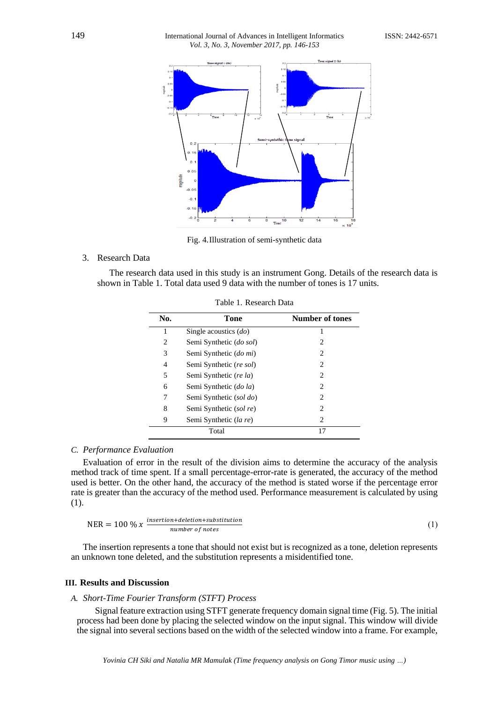

Fig. 4.Illustration of semi-synthetic data

#### 3. Research Data

The research data used in this study is an instrument Gong. Details of the research data is shown in Table 1. Total data used 9 data with the number of tones is 17 units.

| No.   | Tone                    | <b>Number of tones</b>        |  |  |
|-------|-------------------------|-------------------------------|--|--|
|       | Single acoustics $(do)$ |                               |  |  |
| 2     | Semi Synthetic (do sol) | 2                             |  |  |
| 3     | Semi Synthetic (do mi)  | 2                             |  |  |
| 4     | Semi Synthetic (re sol) | $\mathfrak{D}_{\mathfrak{p}}$ |  |  |
| 5     | Semi Synthetic (re la)  | 2                             |  |  |
| 6     | Semi Synthetic (do la)  | 2                             |  |  |
| 7     | Semi Synthetic (sol do) | 2                             |  |  |
| 8     | Semi Synthetic (sol re) | 2                             |  |  |
| 9     | Semi Synthetic (la re)  | 2                             |  |  |
| Total |                         | 17                            |  |  |

Table 1. Research Data

#### *C. Performance Evaluation*

Evaluation of error in the result of the division aims to determine the accuracy of the analysis method track of time spent. If a small percentage-error-rate is generated, the accuracy of the method used is better. On the other hand, the accuracy of the method is stated worse if the percentage error rate is greater than the accuracy of the method used. Performance measurement is calculated by using (1).

$$
NER = 100 \% x \frac{insertion + deletion + substitution}{number of notes}
$$
 (1)

The insertion represents a tone that should not exist but is recognized as a tone, deletion represents an unknown tone deleted, and the substitution represents a misidentified tone.

#### **III. Results and Discussion**

#### *A. Short-Time Fourier Transform (STFT) Process*

Signal feature extraction using STFT generate frequency domain signal time (Fig. 5). The initial process had been done by placing the selected window on the input signal. This window will divide the signal into several sections based on the width of the selected window into a frame. For example,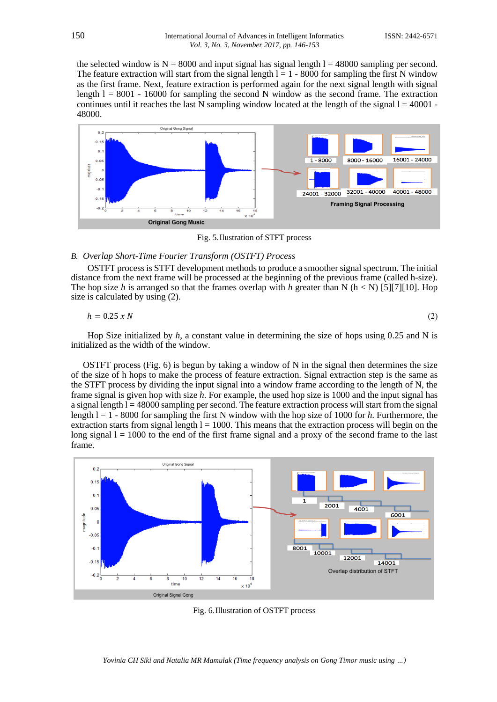the selected window is  $N = 8000$  and input signal has signal length  $l = 48000$  sampling per second. The feature extraction will start from the signal length  $l = 1 - 8000$  for sampling the first N window as the first frame. Next, feature extraction is performed again for the next signal length with signal length  $l = 8001 - 16000$  for sampling the second N window as the second frame. The extraction continues until it reaches the last  $\overline{N}$  sampling window located at the length of the signal  $l = 40001$  -48000.



Fig. 5.Ilustration of STFT process

#### *B. Overlap Short-Time Fourier Transform (OSTFT) Process*

OSTFT process is STFT development methods to produce a smoother signal spectrum. The initial distance from the next frame will be processed at the beginning of the previous frame (called h-size). The hop size *h* is arranged so that the frames overlap with *h* greater than N ( $h < N$ ) [5][7][10]. Hop size is calculated by using (2).

$$
h = 0.25 \times N \tag{2}
$$

Hop Size initialized by *h*, a constant value in determining the size of hops using 0.25 and N is initialized as the width of the window.

OSTFT process (Fig. 6) is begun by taking a window of N in the signal then determines the size of the size of h hops to make the process of feature extraction. Signal extraction step is the same as the STFT process by dividing the input signal into a window frame according to the length of N, the frame signal is given hop with size *h*. For example, the used hop size is 1000 and the input signal has a signal length  $l = 48000$  sampling per second. The feature extraction process will start from the signal length l = 1 - 8000 for sampling the first N window with the hop size of 1000 for *h*. Furthermore, the extraction starts from signal length  $l = 1000$ . This means that the extraction process will begin on the long signal  $l = 1000$  to the end of the first frame signal and a proxy of the second frame to the last frame.



Fig. 6.Illustration of OSTFT process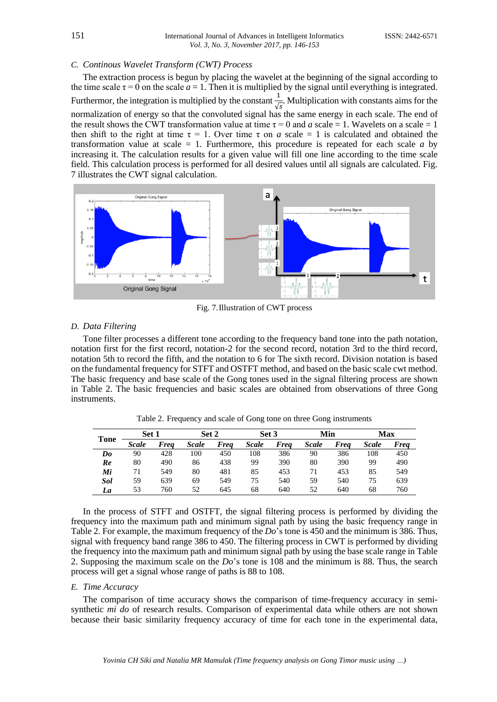#### *C. Continous Wavelet Transform (CWT) Process*

The extraction process is begun by placing the wavelet at the beginning of the signal according to the time scale  $\tau = 0$  on the scale  $a = 1$ . Then it is multiplied by the signal until everything is integrated. Furthermor, the integration is multiplied by the constant  $\frac{1}{\sqrt{s}}$ . Multiplication with constants aims for the normalization of energy so that the convoluted signal has the same energy in each scale. The end of the result shows the CWT transformation value at time  $\tau = 0$  and *a* scale = 1. Wavelets on a scale = 1 then shift to the right at time  $\tau = 1$ . Over time  $\tau$  on *a* scale = 1 is calculated and obtained the transformation value at scale = 1. Furthermore, this procedure is repeated for each scale *a* by increasing it. The calculation results for a given value will fill one line according to the time scale field. This calculation process is performed for all desired values until all signals are calculated. Fig. 7 illustrates the CWT signal calculation.



Fig. 7.Illustration of CWT process

#### *D. Data Filtering*

Tone filter processes a different tone according to the frequency band tone into the path notation, notation first for the first record, notation-2 for the second record, notation 3rd to the third record, notation 5th to record the fifth, and the notation to 6 for The sixth record. Division notation is based on the fundamental frequency for STFT and OSTFT method, and based on the basic scale cwt method. The basic frequency and base scale of the Gong tones used in the signal filtering process are shown in Table 2. The basic frequencies and basic scales are obtained from observations of three Gong instruments.

Table 2. Frequency and scale of Gong tone on three Gong instruments

| <b>Tone</b> |              | Set 1       |              | Set 2 |              | Set 3       |              | Min         |              | Max  |  |
|-------------|--------------|-------------|--------------|-------|--------------|-------------|--------------|-------------|--------------|------|--|
|             | <b>Scale</b> | <b>Frea</b> | <b>Scale</b> | Frea  | <b>Scale</b> | <b>Freq</b> | <b>Scale</b> | <b>Freq</b> | <b>Scale</b> | Freq |  |
| $\bm{Do}$   | 90           | 428         | 100          | 450   | 108          | 386         | 90           | 386         | 108          | 450  |  |
| Re          | 80           | 490         | 86           | 438   | 99           | 390         | 80           | 390         | 99           | 490  |  |
| Mi          | 71           | 549         | 80           | 481   | 85           | 453         | 71           | 453         | 85           | 549  |  |
| Sol         | 59           | 639         | 69           | 549   | 75           | 540         | 59           | 540         | 75           | 639  |  |
| La          | 53           | 760         | 52           | 645   | 68           | 640         | 52           | 640         | 68           | 760  |  |

In the process of STFT and OSTFT, the signal filtering process is performed by dividing the frequency into the maximum path and minimum signal path by using the basic frequency range in Table 2. For example, the maximum frequency of the *Do*'s tone is 450 and the minimum is 386. Thus, signal with frequency band range 386 to 450. The filtering process in CWT is performed by dividing the frequency into the maximum path and minimum signal path by using the base scale range in Table 2. Supposing the maximum scale on the *Do*'s tone is 108 and the minimum is 88. Thus, the search process will get a signal whose range of paths is 88 to 108.

### *E. Time Accuracy*

The comparison of time accuracy shows the comparison of time-frequency accuracy in semisynthetic *mi do* of research results. Comparison of experimental data while others are not shown because their basic similarity frequency accuracy of time for each tone in the experimental data,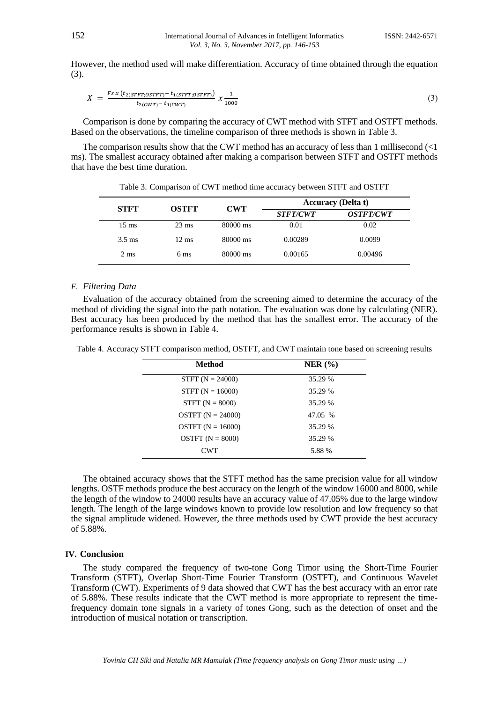However, the method used will make differentiation. Accuracy of time obtained through the equation (3).

$$
X = \frac{F s x (t_{2(STFT;OSTFT)} - t_{1(STFT;OSTFT)})}{t_{2(CWT)} - t_{1(CWT)}} x \frac{1}{1000}
$$
\n(3)

Comparison is done by comparing the accuracy of CWT method with STFT and OSTFT methods. Based on the observations, the timeline comparison of three methods is shown in Table 3.

The comparison results show that the CWT method has an accuracy of less than 1 millisecond  $\leq 1$ ms). The smallest accuracy obtained after making a comparison between STFT and OSTFT methods that have the best time duration.

|                  |                 |            | <b>Accuracy</b> (Delta t) |                         |  |
|------------------|-----------------|------------|---------------------------|-------------------------|--|
| <b>STFT</b>      | <b>OSTFT</b>    | <b>CWT</b> | <i><b>STFT/CWT</b></i>    | <i><b>OSTFT/CWT</b></i> |  |
| $15 \text{ ms}$  | $23 \text{ ms}$ | 80000 ms   | 0.01                      | 0.02                    |  |
| $3.5 \text{ ms}$ | $12 \text{ ms}$ | 80000 ms   | 0.00289                   | 0.0099                  |  |
| $2 \text{ ms}$   | 6 <sub>ms</sub> | 80000 ms   | 0.00165                   | 0.00496                 |  |

Table 3. Comparison of CWT method time accuracy between STFT and OSTFT

### *F. Filtering Data*

Evaluation of the accuracy obtained from the screening aimed to determine the accuracy of the method of dividing the signal into the path notation. The evaluation was done by calculating (NER). Best accuracy has been produced by the method that has the smallest error. The accuracy of the performance results is shown in Table 4.

| <b>Method</b>       | $NER$ $(\% )$ |
|---------------------|---------------|
| STFT $(N = 24000)$  | 35.29 %       |
| $STFT (N = 16000)$  | 35.29 %       |
| $STFT (N = 8000)$   | 35.29 %       |
| OSTFT $(N = 24000)$ | 47.05 %       |
| OSTFT $(N = 16000)$ | 35.29 %       |
| OSTFT $(N = 8000)$  | 35.29 %       |
| <b>CWT</b>          | 5.88 %        |

Table 4. Accuracy STFT comparison method, OSTFT, and CWT maintain tone based on screening results

The obtained accuracy shows that the STFT method has the same precision value for all window lengths. OSTF methods produce the best accuracy on the length of the window 16000 and 8000, while the length of the window to 24000 results have an accuracy value of 47.05% due to the large window length. The length of the large windows known to provide low resolution and low frequency so that the signal amplitude widened. However, the three methods used by CWT provide the best accuracy of 5.88%.

#### **IV. Conclusion**

The study compared the frequency of two-tone Gong Timor using the Short-Time Fourier Transform (STFT), Overlap Short-Time Fourier Transform (OSTFT), and Continuous Wavelet Transform (CWT). Experiments of 9 data showed that CWT has the best accuracy with an error rate of 5.88%. These results indicate that the CWT method is more appropriate to represent the timefrequency domain tone signals in a variety of tones Gong, such as the detection of onset and the introduction of musical notation or transcription.